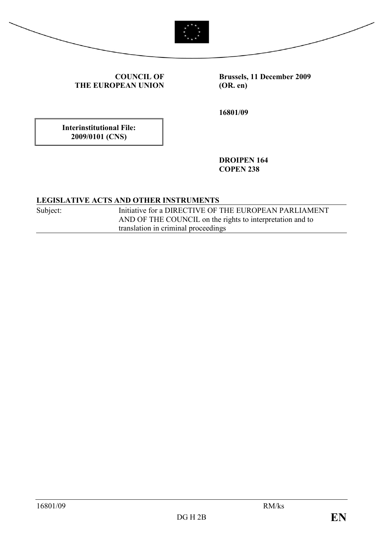



COUNCIL OF THE EUROPEAN UNION Brussels, 11 December 2009 (OR. en)

16801/09

Interinstitutional File: 2009/0101 (CNS)

> DROIPEN 164 **COPEN 238**

## LEGISLATIVE ACTS AND OTHER INSTRUMENTS

Subject: Initiative for a DIRECTIVE OF THE EUROPEAN PARLIAMENT AND OF THE COUNCIL on the rights to interpretation and to translation in criminal proceedings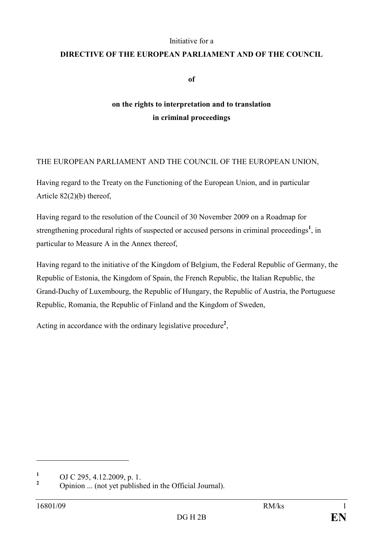#### Initiative for a

## DIRECTIVE OF THE EUROPEAN PARLIAMENT AND OF THE COUNCIL

of

## on the rights to interpretation and to translation in criminal proceedings

## THE EUROPEAN PARLIAMENT AND THE COUNCIL OF THE EUROPEAN UNION,

Having regard to the Treaty on the Functioning of the European Union, and in particular Article 82(2)(b) thereof,

Having regard to the resolution of the Council of 30 November 2009 on a Roadmap for strengthening procedural rights of suspected or accused persons in criminal proceedings<sup>1</sup>, in particular to Measure A in the Annex thereof,

Having regard to the initiative of the Kingdom of Belgium, the Federal Republic of Germany, the Republic of Estonia, the Kingdom of Spain, the French Republic, the Italian Republic, the Grand-Duchy of Luxembourg, the Republic of Hungary, the Republic of Austria, the Portuguese Republic, Romania, the Republic of Finland and the Kingdom of Sweden,

Acting in accordance with the ordinary legislative procedure<sup>2</sup>,

 $\overline{a}$ 

<sup>1</sup> OJ C 295, 4.12.2009, p. 1.

<sup>2</sup> Opinion ... (not yet published in the Official Journal).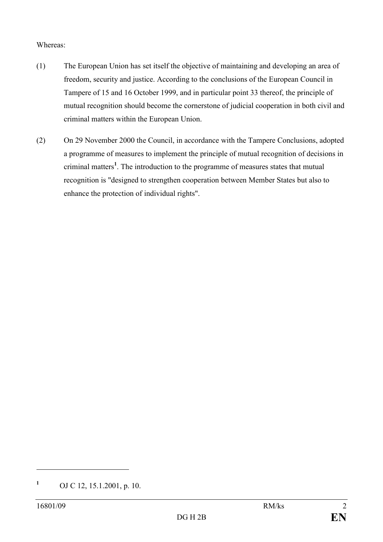#### Whereas:

- (1) The European Union has set itself the objective of maintaining and developing an area of freedom, security and justice. According to the conclusions of the European Council in Tampere of 15 and 16 October 1999, and in particular point 33 thereof, the principle of mutual recognition should become the cornerstone of judicial cooperation in both civil and criminal matters within the European Union.
- (2) On 29 November 2000 the Council, in accordance with the Tampere Conclusions, adopted a programme of measures to implement the principle of mutual recognition of decisions in criminal matters<sup>1</sup>. The introduction to the programme of measures states that mutual recognition is "designed to strengthen cooperation between Member States but also to enhance the protection of individual rights".

 $\overline{a}$ 

<sup>1</sup> OJ C 12, 15.1.2001, p. 10.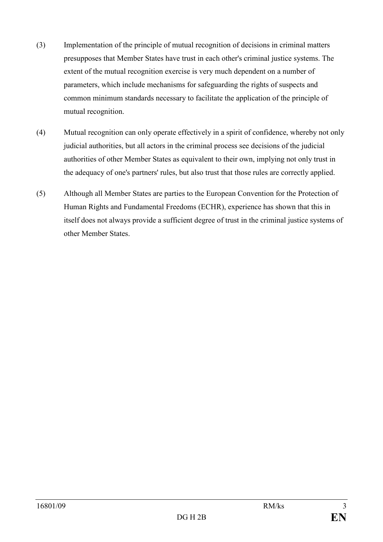- (3) Implementation of the principle of mutual recognition of decisions in criminal matters presupposes that Member States have trust in each other's criminal justice systems. The extent of the mutual recognition exercise is very much dependent on a number of parameters, which include mechanisms for safeguarding the rights of suspects and common minimum standards necessary to facilitate the application of the principle of mutual recognition.
- (4) Mutual recognition can only operate effectively in a spirit of confidence, whereby not only judicial authorities, but all actors in the criminal process see decisions of the judicial authorities of other Member States as equivalent to their own, implying not only trust in the adequacy of one's partners' rules, but also trust that those rules are correctly applied.
- (5) Although all Member States are parties to the European Convention for the Protection of Human Rights and Fundamental Freedoms (ECHR), experience has shown that this in itself does not always provide a sufficient degree of trust in the criminal justice systems of other Member States.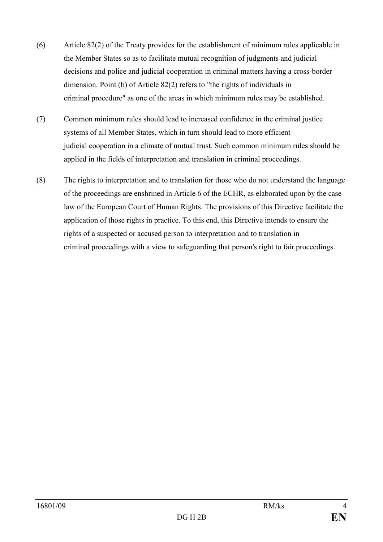- (6) Article 82(2) of the Treaty provides for the establishment of minimum rules applicable in the Member States so as to facilitate mutual recognition of judgments and judicial decisions and police and judicial cooperation in criminal matters having a cross-border dimension. Point (b) of Article 82(2) refers to "the rights of individuals in criminal procedure" as one of the areas in which minimum rules may be established.
- (7) Common minimum rules should lead to increased confidence in the criminal justice systems of all Member States, which in turn should lead to more efficient judicial cooperation in a climate of mutual trust. Such common minimum rules should be applied in the fields of interpretation and translation in criminal proceedings.
- (8) The rights to interpretation and to translation for those who do not understand the language of the proceedings are enshrined in Article 6 of the ECHR, as elaborated upon by the case law of the European Court of Human Rights. The provisions of this Directive facilitate the application of those rights in practice. To this end, this Directive intends to ensure the rights of a suspected or accused person to interpretation and to translation in criminal proceedings with a view to safeguarding that person's right to fair proceedings.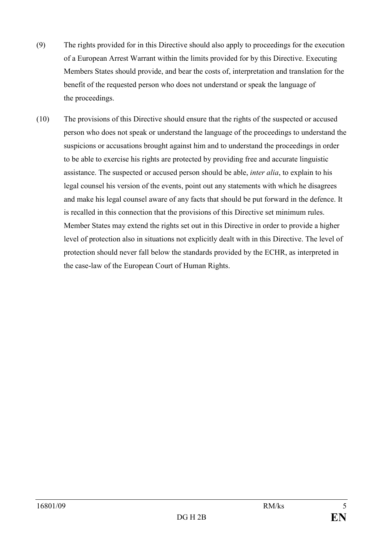- (9) The rights provided for in this Directive should also apply to proceedings for the execution of a European Arrest Warrant within the limits provided for by this Directive. Executing Members States should provide, and bear the costs of, interpretation and translation for the benefit of the requested person who does not understand or speak the language of the proceedings.
- (10) The provisions of this Directive should ensure that the rights of the suspected or accused person who does not speak or understand the language of the proceedings to understand the suspicions or accusations brought against him and to understand the proceedings in order to be able to exercise his rights are protected by providing free and accurate linguistic assistance. The suspected or accused person should be able, inter alia, to explain to his legal counsel his version of the events, point out any statements with which he disagrees and make his legal counsel aware of any facts that should be put forward in the defence. It is recalled in this connection that the provisions of this Directive set minimum rules. Member States may extend the rights set out in this Directive in order to provide a higher level of protection also in situations not explicitly dealt with in this Directive. The level of protection should never fall below the standards provided by the ECHR, as interpreted in the case-law of the European Court of Human Rights.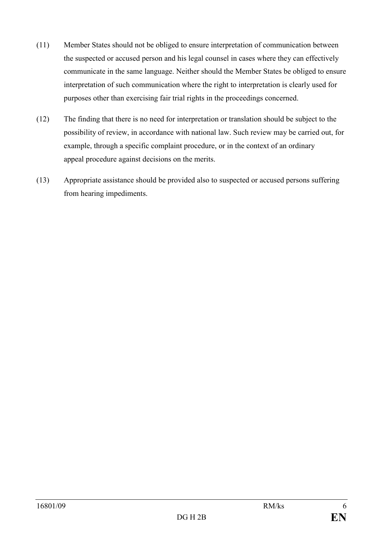- (11) Member States should not be obliged to ensure interpretation of communication between the suspected or accused person and his legal counsel in cases where they can effectively communicate in the same language. Neither should the Member States be obliged to ensure interpretation of such communication where the right to interpretation is clearly used for purposes other than exercising fair trial rights in the proceedings concerned.
- (12) The finding that there is no need for interpretation or translation should be subject to the possibility of review, in accordance with national law. Such review may be carried out, for example, through a specific complaint procedure, or in the context of an ordinary appeal procedure against decisions on the merits.
- (13) Appropriate assistance should be provided also to suspected or accused persons suffering from hearing impediments.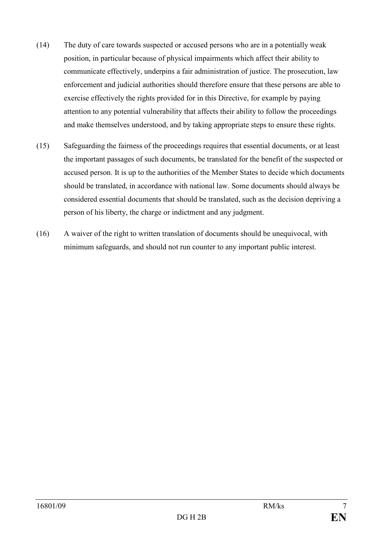- (14) The duty of care towards suspected or accused persons who are in a potentially weak position, in particular because of physical impairments which affect their ability to communicate effectively, underpins a fair administration of justice. The prosecution, law enforcement and judicial authorities should therefore ensure that these persons are able to exercise effectively the rights provided for in this Directive, for example by paying attention to any potential vulnerability that affects their ability to follow the proceedings and make themselves understood, and by taking appropriate steps to ensure these rights.
- (15) Safeguarding the fairness of the proceedings requires that essential documents, or at least the important passages of such documents, be translated for the benefit of the suspected or accused person. It is up to the authorities of the Member States to decide which documents should be translated, in accordance with national law. Some documents should always be considered essential documents that should be translated, such as the decision depriving a person of his liberty, the charge or indictment and any judgment.
- (16) A waiver of the right to written translation of documents should be unequivocal, with minimum safeguards, and should not run counter to any important public interest.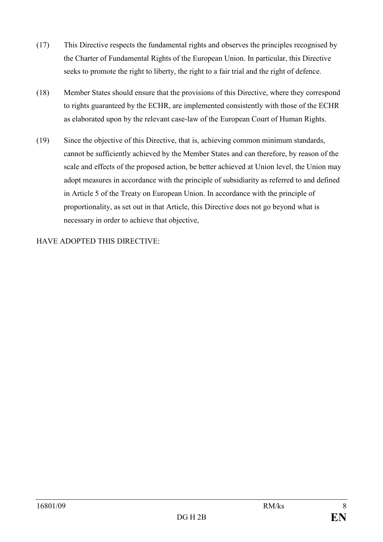- (17) This Directive respects the fundamental rights and observes the principles recognised by the Charter of Fundamental Rights of the European Union. In particular, this Directive seeks to promote the right to liberty, the right to a fair trial and the right of defence.
- (18) Member States should ensure that the provisions of this Directive, where they correspond to rights guaranteed by the ECHR, are implemented consistently with those of the ECHR as elaborated upon by the relevant case-law of the European Court of Human Rights.
- (19) Since the objective of this Directive, that is, achieving common minimum standards, cannot be sufficiently achieved by the Member States and can therefore, by reason of the scale and effects of the proposed action, be better achieved at Union level, the Union may adopt measures in accordance with the principle of subsidiarity as referred to and defined in Article 5 of the Treaty on European Union. In accordance with the principle of proportionality, as set out in that Article, this Directive does not go beyond what is necessary in order to achieve that objective,

HAVE ADOPTED THIS DIRECTIVE: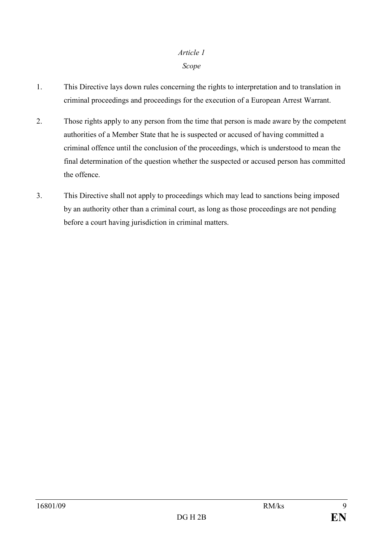#### Scope

- 1. This Directive lays down rules concerning the rights to interpretation and to translation in criminal proceedings and proceedings for the execution of a European Arrest Warrant.
- 2. Those rights apply to any person from the time that person is made aware by the competent authorities of a Member State that he is suspected or accused of having committed a criminal offence until the conclusion of the proceedings, which is understood to mean the final determination of the question whether the suspected or accused person has committed the offence.
- 3. This Directive shall not apply to proceedings which may lead to sanctions being imposed by an authority other than a criminal court, as long as those proceedings are not pending before a court having jurisdiction in criminal matters.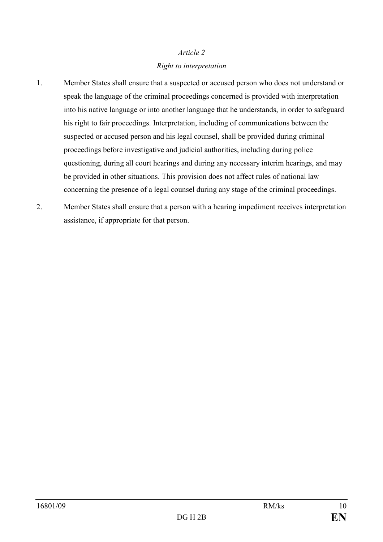## Article 2 Right to interpretation

- 1. Member States shall ensure that a suspected or accused person who does not understand or speak the language of the criminal proceedings concerned is provided with interpretation into his native language or into another language that he understands, in order to safeguard his right to fair proceedings. Interpretation, including of communications between the suspected or accused person and his legal counsel, shall be provided during criminal proceedings before investigative and judicial authorities, including during police questioning, during all court hearings and during any necessary interim hearings, and may be provided in other situations. This provision does not affect rules of national law concerning the presence of a legal counsel during any stage of the criminal proceedings.
- 2. Member States shall ensure that a person with a hearing impediment receives interpretation assistance, if appropriate for that person.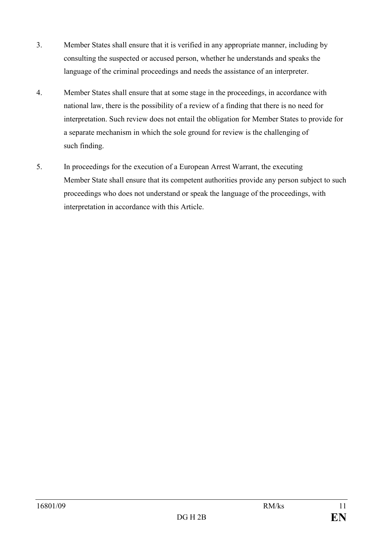- 3. Member States shall ensure that it is verified in any appropriate manner, including by consulting the suspected or accused person, whether he understands and speaks the language of the criminal proceedings and needs the assistance of an interpreter.
- 4. Member States shall ensure that at some stage in the proceedings, in accordance with national law, there is the possibility of a review of a finding that there is no need for interpretation. Such review does not entail the obligation for Member States to provide for a separate mechanism in which the sole ground for review is the challenging of such finding.
- 5. In proceedings for the execution of a European Arrest Warrant, the executing Member State shall ensure that its competent authorities provide any person subject to such proceedings who does not understand or speak the language of the proceedings, with interpretation in accordance with this Article.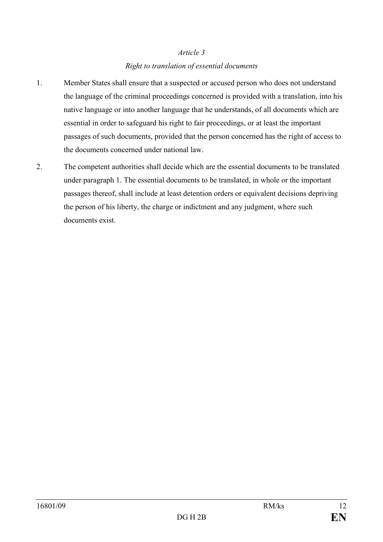#### Right to translation of essential documents

- 1. Member States shall ensure that a suspected or accused person who does not understand the language of the criminal proceedings concerned is provided with a translation, into his native language or into another language that he understands, of all documents which are essential in order to safeguard his right to fair proceedings, or at least the important passages of such documents, provided that the person concerned has the right of access to the documents concerned under national law.
- 2. The competent authorities shall decide which are the essential documents to be translated under paragraph 1. The essential documents to be translated, in whole or the important passages thereof, shall include at least detention orders or equivalent decisions depriving the person of his liberty, the charge or indictment and any judgment, where such documents exist.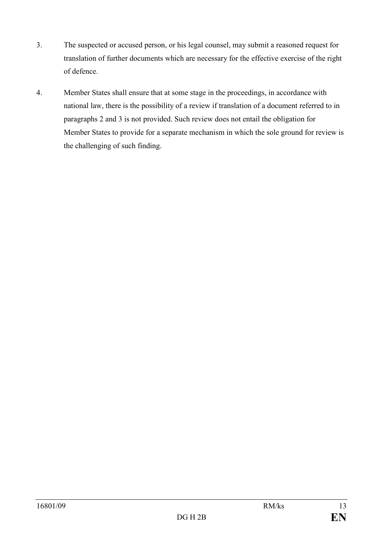- 3. The suspected or accused person, or his legal counsel, may submit a reasoned request for translation of further documents which are necessary for the effective exercise of the right of defence.
- 4. Member States shall ensure that at some stage in the proceedings, in accordance with national law, there is the possibility of a review if translation of a document referred to in paragraphs 2 and 3 is not provided. Such review does not entail the obligation for Member States to provide for a separate mechanism in which the sole ground for review is the challenging of such finding.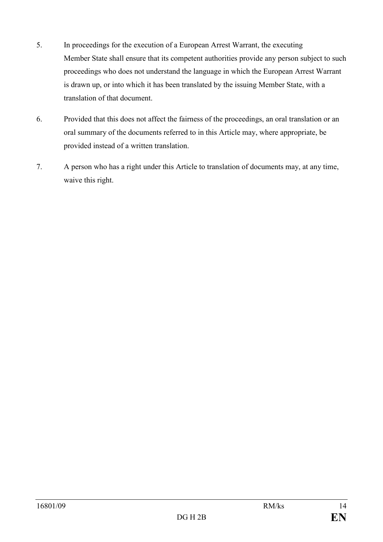- 5. In proceedings for the execution of a European Arrest Warrant, the executing Member State shall ensure that its competent authorities provide any person subject to such proceedings who does not understand the language in which the European Arrest Warrant is drawn up, or into which it has been translated by the issuing Member State, with a translation of that document.
- 6. Provided that this does not affect the fairness of the proceedings, an oral translation or an oral summary of the documents referred to in this Article may, where appropriate, be provided instead of a written translation.
- 7. A person who has a right under this Article to translation of documents may, at any time, waive this right.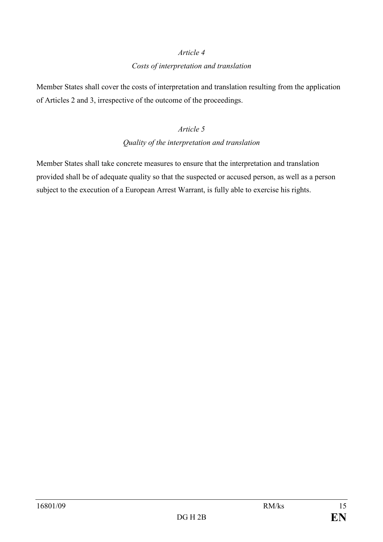#### Costs of interpretation and translation

Member States shall cover the costs of interpretation and translation resulting from the application of Articles 2 and 3, irrespective of the outcome of the proceedings.

### Article 5

## Quality of the interpretation and translation

Member States shall take concrete measures to ensure that the interpretation and translation provided shall be of adequate quality so that the suspected or accused person, as well as a person subject to the execution of a European Arrest Warrant, is fully able to exercise his rights.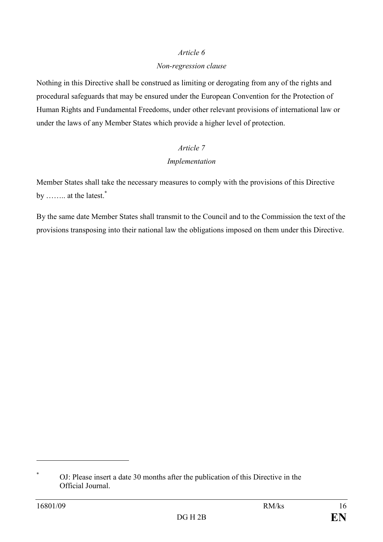#### Non-regression clause

Nothing in this Directive shall be construed as limiting or derogating from any of the rights and procedural safeguards that may be ensured under the European Convention for the Protection of Human Rights and Fundamental Freedoms, under other relevant provisions of international law or under the laws of any Member States which provide a higher level of protection.

## Article 7 Implementation

Member States shall take the necessary measures to comply with the provisions of this Directive by …….. at the latest.<sup>\*</sup>

By the same date Member States shall transmit to the Council and to the Commission the text of the provisions transposing into their national law the obligations imposed on them under this Directive.

 $\overline{a}$ 

\*

OJ: Please insert a date 30 months after the publication of this Directive in the Official Journal.